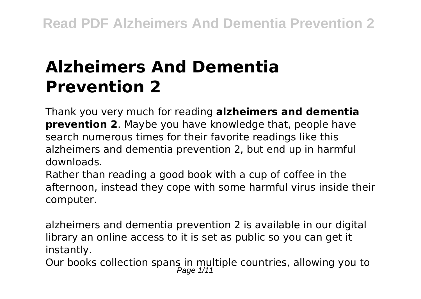# **Alzheimers And Dementia Prevention 2**

Thank you very much for reading **alzheimers and dementia prevention 2**. Maybe you have knowledge that, people have search numerous times for their favorite readings like this alzheimers and dementia prevention 2, but end up in harmful downloads.

Rather than reading a good book with a cup of coffee in the afternoon, instead they cope with some harmful virus inside their computer.

alzheimers and dementia prevention 2 is available in our digital library an online access to it is set as public so you can get it instantly.

Our books collection spans in multiple countries, allowing you to<br> $P_{\text{age 1/11}}$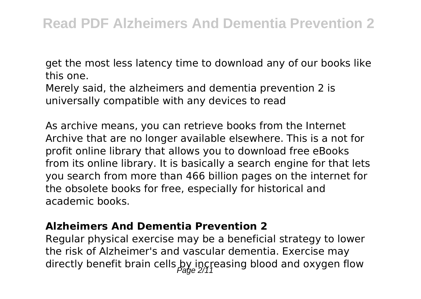get the most less latency time to download any of our books like this one.

Merely said, the alzheimers and dementia prevention 2 is universally compatible with any devices to read

As archive means, you can retrieve books from the Internet Archive that are no longer available elsewhere. This is a not for profit online library that allows you to download free eBooks from its online library. It is basically a search engine for that lets you search from more than 466 billion pages on the internet for the obsolete books for free, especially for historical and academic books.

### **Alzheimers And Dementia Prevention 2**

Regular physical exercise may be a beneficial strategy to lower the risk of Alzheimer's and vascular dementia. Exercise may directly benefit brain cells by increasing blood and oxygen flow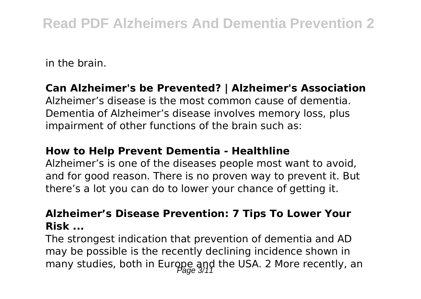in the brain.

### **Can Alzheimer's be Prevented? | Alzheimer's Association**

Alzheimer's disease is the most common cause of dementia. Dementia of Alzheimer's disease involves memory loss, plus impairment of other functions of the brain such as:

### **How to Help Prevent Dementia - Healthline**

Alzheimer's is one of the diseases people most want to avoid, and for good reason. There is no proven way to prevent it. But there's a lot you can do to lower your chance of getting it.

### **Alzheimer's Disease Prevention: 7 Tips To Lower Your Risk ...**

The strongest indication that prevention of dementia and AD may be possible is the recently declining incidence shown in many studies, both in Europe and the USA. 2 More recently, an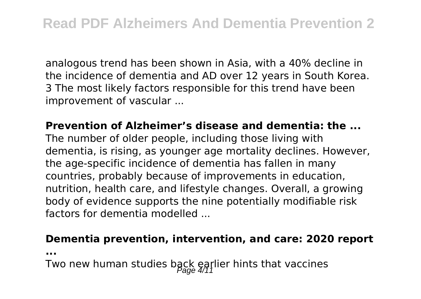analogous trend has been shown in Asia, with a 40% decline in the incidence of dementia and AD over 12 years in South Korea. 3 The most likely factors responsible for this trend have been improvement of vascular ...

### **Prevention of Alzheimer's disease and dementia: the ...**

The number of older people, including those living with dementia, is rising, as younger age mortality declines. However, the age-specific incidence of dementia has fallen in many countries, probably because of improvements in education, nutrition, health care, and lifestyle changes. Overall, a growing body of evidence supports the nine potentially modifiable risk factors for dementia modelled ...

#### **Dementia prevention, intervention, and care: 2020 report**

**...**

Two new human studies back earlier hints that vaccines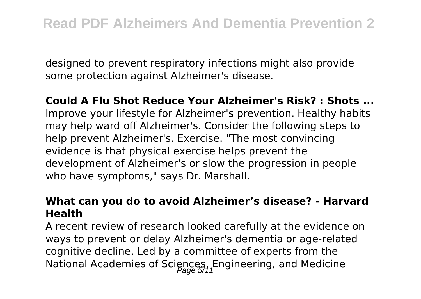designed to prevent respiratory infections might also provide some protection against Alzheimer's disease.

**Could A Flu Shot Reduce Your Alzheimer's Risk? : Shots ...** Improve your lifestyle for Alzheimer's prevention. Healthy habits may help ward off Alzheimer's. Consider the following steps to help prevent Alzheimer's. Exercise. "The most convincing evidence is that physical exercise helps prevent the development of Alzheimer's or slow the progression in people who have symptoms," says Dr. Marshall.

### **What can you do to avoid Alzheimer's disease? - Harvard Health**

A recent review of research looked carefully at the evidence on ways to prevent or delay Alzheimer's dementia or age-related cognitive decline. Led by a committee of experts from the National Academies of Sciences, Engineering, and Medicine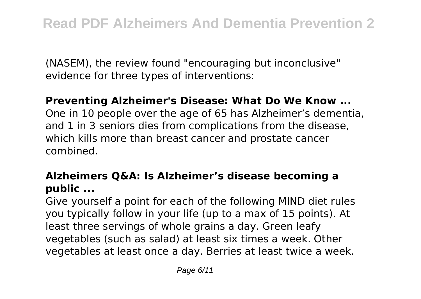(NASEM), the review found "encouraging but inconclusive" evidence for three types of interventions:

### **Preventing Alzheimer's Disease: What Do We Know ...**

One in 10 people over the age of 65 has Alzheimer's dementia, and 1 in 3 seniors dies from complications from the disease, which kills more than breast cancer and prostate cancer combined.

### **Alzheimers Q&A: Is Alzheimer's disease becoming a public ...**

Give yourself a point for each of the following MIND diet rules you typically follow in your life (up to a max of 15 points). At least three servings of whole grains a day. Green leafy vegetables (such as salad) at least six times a week. Other vegetables at least once a day. Berries at least twice a week.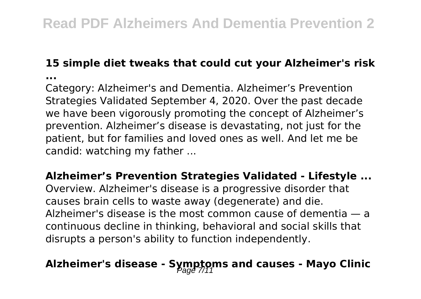### **15 simple diet tweaks that could cut your Alzheimer's risk**

**...**

Category: Alzheimer's and Dementia. Alzheimer's Prevention Strategies Validated September 4, 2020. Over the past decade we have been vigorously promoting the concept of Alzheimer's prevention. Alzheimer's disease is devastating, not just for the patient, but for families and loved ones as well. And let me be candid: watching my father ...

**Alzheimer's Prevention Strategies Validated - Lifestyle ...**

Overview. Alzheimer's disease is a progressive disorder that causes brain cells to waste away (degenerate) and die. Alzheimer's disease is the most common cause of dementia — a continuous decline in thinking, behavioral and social skills that disrupts a person's ability to function independently.

## Alzheimer's disease - Symptoms and causes - Mayo Clinic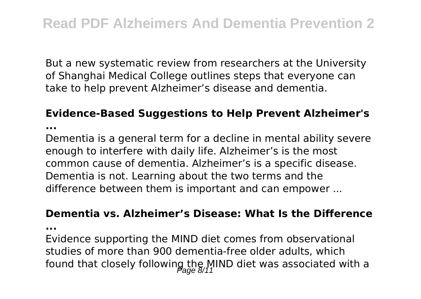But a new systematic review from researchers at the University of Shanghai Medical College outlines steps that everyone can take to help prevent Alzheimer's disease and dementia.

### **Evidence-Based Suggestions to Help Prevent Alzheimer's**

**...**

Dementia is a general term for a decline in mental ability severe enough to interfere with daily life. Alzheimer's is the most common cause of dementia. Alzheimer's is a specific disease. Dementia is not. Learning about the two terms and the difference between them is important and can empower ...

#### **Dementia vs. Alzheimer's Disease: What Is the Difference**

**...**

Evidence supporting the MIND diet comes from observational studies of more than 900 dementia-free older adults, which found that closely following the MIND diet was associated with a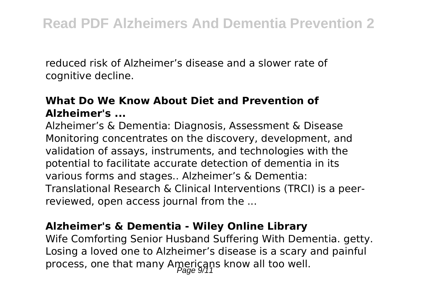reduced risk of Alzheimer's disease and a slower rate of cognitive decline.

### **What Do We Know About Diet and Prevention of Alzheimer's ...**

Alzheimer's & Dementia: Diagnosis, Assessment & Disease Monitoring concentrates on the discovery, development, and validation of assays, instruments, and technologies with the potential to facilitate accurate detection of dementia in its various forms and stages.. Alzheimer's & Dementia: Translational Research & Clinical Interventions (TRCI) is a peerreviewed, open access journal from the ...

### **Alzheimer's & Dementia - Wiley Online Library**

Wife Comforting Senior Husband Suffering With Dementia. getty. Losing a loved one to Alzheimer's disease is a scary and painful process, one that many Americans know all too well.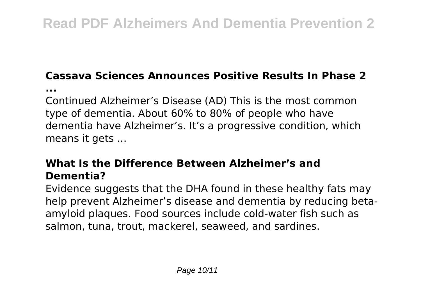### **Cassava Sciences Announces Positive Results In Phase 2**

**...**

Continued Alzheimer's Disease (AD) This is the most common type of dementia. About 60% to 80% of people who have dementia have Alzheimer's. It's a progressive condition, which means it gets ...

### **What Is the Difference Between Alzheimer's and Dementia?**

Evidence suggests that the DHA found in these healthy fats may help prevent Alzheimer's disease and dementia by reducing betaamyloid plaques. Food sources include cold-water fish such as salmon, tuna, trout, mackerel, seaweed, and sardines.